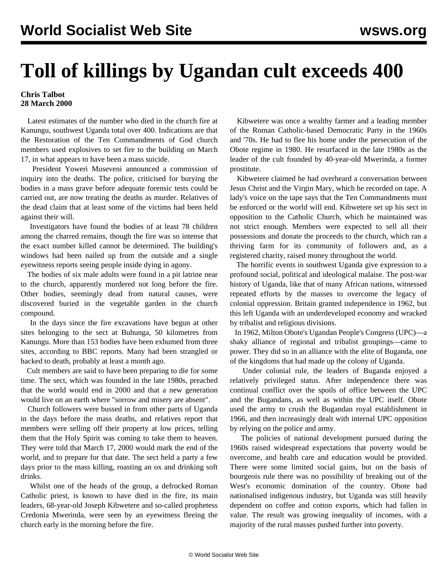## **Toll of killings by Ugandan cult exceeds 400**

## **Chris Talbot 28 March 2000**

 Latest estimates of the number who died in the church fire at Kanungu, southwest Uganda total over 400. Indications are that the Restoration of the Ten Commandments of God church members used explosives to set fire to the building on March 17, in what appears to have been a mass suicide.

 President Yoweri Museveni announced a commission of inquiry into the deaths. The police, criticised for burying the bodies in a mass grave before adequate forensic tests could be carried out, are now treating the deaths as murder. Relatives of the dead claim that at least some of the victims had been held against their will.

 Investigators have found the bodies of at least 78 children among the charred remains, though the fire was so intense that the exact number killed cannot be determined. The building's windows had been nailed up from the outside and a single eyewitness reports seeing people inside dying in agony.

 The bodies of six male adults were found in a pit latrine near to the church, apparently murdered not long before the fire. Other bodies, seemingly dead from natural causes, were discovered buried in the vegetable garden in the church compound.

 In the days since the fire excavations have begun at other sites belonging to the sect at Buhunga, 50 kilometres from Kanungu. More than 153 bodies have been exhumed from three sites, according to BBC reports. Many had been strangled or hacked to death, probably at least a month ago.

 Cult members are said to have been preparing to die for some time. The sect, which was founded in the late 1980s, preached that the world would end in 2000 and that a new generation would live on an earth where "sorrow and misery are absent".

 Church followers were bussed in from other parts of Uganda in the days before the mass deaths, and relatives report that members were selling off their property at low prices, telling them that the Holy Spirit was coming to take them to heaven. They were told that March 17, 2000 would mark the end of the world, and to prepare for that date. The sect held a party a few days prior to the mass killing, roasting an ox and drinking soft drinks.

 Whilst one of the heads of the group, a defrocked Roman Catholic priest, is known to have died in the fire, its main leaders, 68-year-old Joseph Kibwetere and so-called prophetess Credonia Mwerinda, were seen by an eyewitness fleeing the church early in the morning before the fire.

 Kibwetere was once a wealthy farmer and a leading member of the Roman Catholic-based Democratic Party in the 1960s and '70s. He had to flee his home under the persecution of the Obote regime in 1980. He resurfaced in the late 1980s as the leader of the cult founded by 40-year-old Mwerinda, a former prostitute.

 Kibwetere claimed he had overheard a conversation between Jesus Christ and the Virgin Mary, which he recorded on tape. A lady's voice on the tape says that the Ten Commandments must be enforced or the world will end. Kibwetere set up his sect in opposition to the Catholic Church, which he maintained was not strict enough. Members were expected to sell all their possessions and donate the proceeds to the church, which ran a thriving farm for its community of followers and, as a registered charity, raised money throughout the world.

 The horrific events in southwest Uganda give expression to a profound social, political and ideological malaise. The post-war history of Uganda, like that of many African nations, witnessed repeated efforts by the masses to overcome the legacy of colonial oppression. Britain granted independence in 1962, but this left Uganda with an underdeveloped economy and wracked by tribalist and religious divisions.

 In 1962, Milton Obote's Ugandan People's Congress (UPC)—a shaky alliance of regional and tribalist groupings—came to power. They did so in an alliance with the elite of Buganda, one of the kingdoms that had made up the colony of Uganda.

 Under colonial rule, the leaders of Buganda enjoyed a relatively privileged status. After independence there was continual conflict over the spoils of office between the UPC and the Bugandans, as well as within the UPC itself. Obote used the army to crush the Bugandan royal establishment in 1966, and then increasingly dealt with internal UPC opposition by relying on the police and army.

 The policies of national development pursued during the 1960s raised widespread expectations that poverty would be overcome, and health care and education would be provided. There were some limited social gains, but on the basis of bourgeois rule there was no possibility of breaking out of the West's economic domination of the country. Obote had nationalised indigenous industry, but Uganda was still heavily dependent on coffee and cotton exports, which had fallen in value. The result was growing inequality of incomes, with a majority of the rural masses pushed further into poverty.